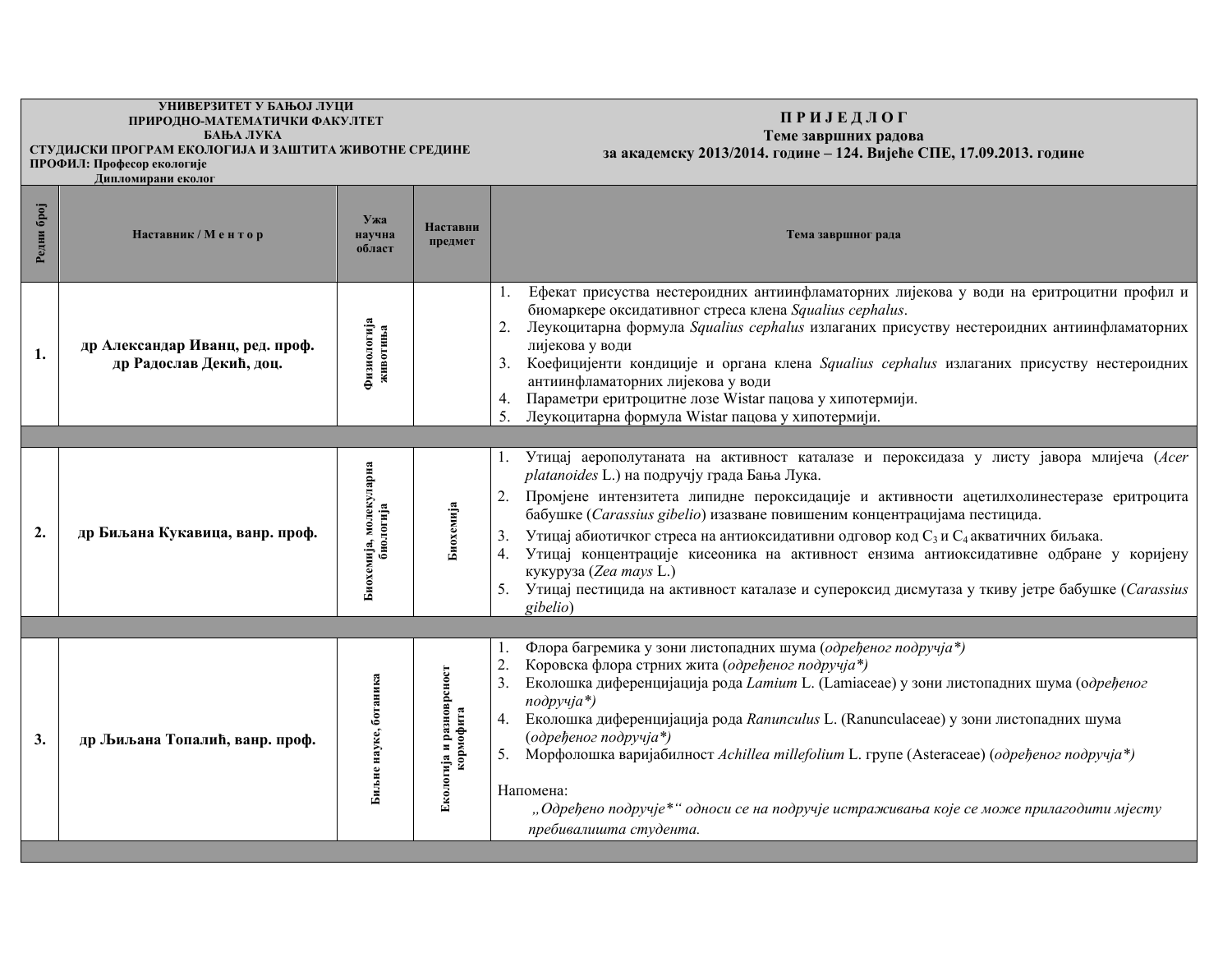## **УНИВЕРЗИТЕТ У БАЊОЈ ЛУЦИ ɉɊɂɊɈȾɇɈ-ɆȺɌȿɆȺɌɂɑɄɂ ɎȺɄɍɅɌȿɌ БАЊА ЛУКА<br>СТУДИЈСКИ ПРОГРАМ ЕКОЛОГИЈА И ЗАШТИТА ЖИВОТНЕ СРЕДИНЕ**

## **ɉ Ɋ ɂ ȳ ȿ Ⱦ Ʌ Ɉ Ƚ**

## Теме завршних радова

за академску 2013/2014. године - 124. Вијеће СПЕ, 17.09.2013. године

 $\Pi$ РОФИЛ: Професор екологије **• • • • • • Дипломирани еколог** 

| <b>Gpoj</b><br>Редни | Наставник / Ментор                                         | Ужа<br>научна<br>област             | Наставни<br>предмет                          | Тема завршног рада                                                                                                                                                                                                                                                                                                                                                                                                                                                                                                                                                                                                                                                    |
|----------------------|------------------------------------------------------------|-------------------------------------|----------------------------------------------|-----------------------------------------------------------------------------------------------------------------------------------------------------------------------------------------------------------------------------------------------------------------------------------------------------------------------------------------------------------------------------------------------------------------------------------------------------------------------------------------------------------------------------------------------------------------------------------------------------------------------------------------------------------------------|
| 1.                   | др Александар Иванц, ред. проф.<br>др Радослав Декић, доц. | Физиологија<br>животиња             |                                              | Ефекат присуства нестероидних антиинфламаторних лијекова у води на еритроцитни профил и<br>биомаркере оксидативног стреса клена Squalius cephalus.<br>Леукоцитарна формула Squalius cephalus излаганих присуству нестероидних антиинфламаторних<br>лијекова у води<br>Коефицијенти кондиције и органа клена Squalius cephalus излаганих присуству нестероидних<br>3 <sub>1</sub><br>антиинфламаторних лијекова у води<br>Параметри еритроцитне лозе Wistar пацова у хипотермији.<br>4.<br>Леукоцитарна формула Wistar пацова у хипотермији.                                                                                                                           |
|                      |                                                            |                                     |                                              |                                                                                                                                                                                                                                                                                                                                                                                                                                                                                                                                                                                                                                                                       |
| $\overline{2}$ .     | др Биљана Кукавица, ванр. проф.                            | Биохемија, молекуларна<br>биологија | Биохемија                                    | Утицај аерополутаната на активност каталазе и пероксидаза у листу јавора млијеча (Acer<br>platanoides L.) на подручју града Бања Лука.<br>2.<br>Промјене интензитета липидне пероксидације и активности ацетилхолинестеразе еритроцита<br>бабушке (Carassius gibelio) изазване повишеним концентрацијама пестицида.<br>Утицај абиотичког стреса на антиоксидативни одговор код С <sub>3</sub> и С <sub>4</sub> акватичних биљака.<br>Утицај концентрације кисеоника на активност ензима антиоксидативне одбране у коријену<br>кукуруза (Zea mays L.)<br>5. Утицај пестицида на активност каталазе и супероксид дисмутаза у ткиву јетре бабушке (Carassius<br>gibelio) |
|                      |                                                            |                                     |                                              |                                                                                                                                                                                                                                                                                                                                                                                                                                                                                                                                                                                                                                                                       |
| 3.                   | др Љиљана Топалић, ванр. проф.                             | Биљне науке, ботаника               | ија и разноврсност<br>кормофита<br>Екологија | Флора багремика у зони листопадних шума (одређеног подручја*)<br>Коровска флора стрних жита (одређеног подручја*)<br>2.<br>3.<br>Еколошка диференцијација рода <i>Lamium</i> L. (Lamiaceae) у зони листопадних шума (одређеног<br>$no\partial pyuja*$<br>4. Еколошка диференцијација рода Ranunculus L. (Ranunculaceae) у зони листопадних шума<br>(одређеног подручја*)<br>Морфолошка варијабилност Achillea millefolium L. групе (Asteraceae) (одређеног подручја*)<br>Напомена:<br>"Одређено подручје*" односи се на подручје истраживања које се може прилагодити мјесту<br>пребивалишта студента.                                                                |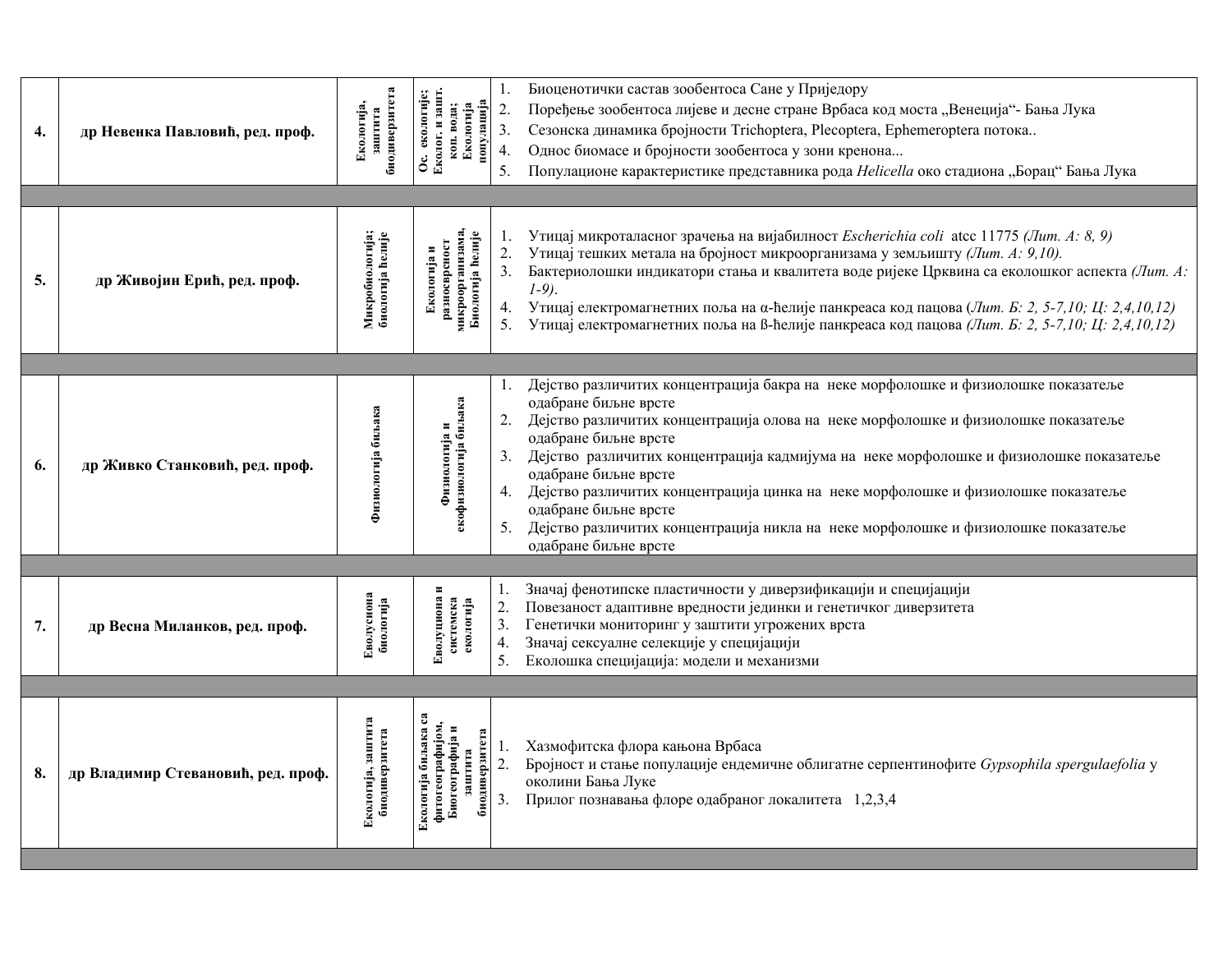| 4. | др Невенка Павловић, ред. проф.    | биодиверзитета<br>Екологија,<br>заштита | Еколог. и зашт.<br>Ос. екологије;<br><u>е [ипвгулои</u><br>коп. вода;<br>Екологија     | 1.<br>$\overline{2}$ .<br>3.<br>4.<br>5. | Биоценотички састав зообентоса Сане у Приједору<br>Поређење зообентоса лијеве и десне стране Врбаса код моста "Венеција"- Бања Лука<br>Сезонска динамика бројности Trichoptera, Plecoptera, Ephemeroptera потока<br>Однос биомасе и бројности зообентоса у зони кренона<br>Популационе карактеристике представника рода Helicella око стадиона "Борац" Бања Лука                                                                                                                                                                                                        |
|----|------------------------------------|-----------------------------------------|----------------------------------------------------------------------------------------|------------------------------------------|-------------------------------------------------------------------------------------------------------------------------------------------------------------------------------------------------------------------------------------------------------------------------------------------------------------------------------------------------------------------------------------------------------------------------------------------------------------------------------------------------------------------------------------------------------------------------|
| 5. | др Живојин Ерић, ред. проф.        | Микробиологија;<br>биологија ћелије     | микроорганизама.<br>Биологија ћелије<br>разносврсност<br>Екологија и                   | 1.<br>2.<br>4.<br>5.                     | Утицај микроталасног зрачења на вијабилност <i>Escherichia coli</i> atcc 11775 (Лит. A: 8, 9)<br>Утицај тешких метала на бројност микроорганизама у земљишту (Лит. А: 9,10).<br>Бактериолошки индикатори стања и квалитета воде ријеке Црквина са еколошког аспекта (Лит. А:<br>$1-9$ .<br>Утицај електромагнетних поља на α-ћелије панкреаса код пацова (Лит. Б. 2, 5-7,10; Ц. 2, 4,10,12)<br>Утицај електромагнетних поља на В-ћелије панкреаса код пацова (Лит. Б. 2, 5-7,10; Ц. 2,4,10,12)                                                                          |
| 6. | др Живко Станковић, ред. проф.     | Физиологија биљака                      | Физиологија и<br>екофизиологија биљака                                                 | $\mathbf{I}$ .<br>2.<br>5.               | Дејство различитих концентрација бакра на неке морфолошке и физиолошке показатеље<br>одабране биљне врсте<br>Дејство различитих концентрација олова на неке морфолошке и физиолошке показатеље<br>одабране биљне врсте<br>3. Дејство различитих концентрација кадмијума на неке морфолошке и физиолошке показатеље<br>одабране биљне врсте<br>4. Дејство различитих концентрација цинка на неке морфолошке и физиолошке показатеље<br>одабране биљне врсте<br>Дејство различитих концентрација никла на неке морфолошке и физиолошке показатеље<br>одабране биљне врсте |
| 7. | др Весна Миланков, ред. проф.      | Еволусиона<br>биологија                 | Еволуциона и<br>системска<br>екологија                                                 | 1.<br>2.<br>3.<br>4.<br>5.               | Значај фенотипске пластичности у диверзификацији и специјацији<br>Повезаност адаптивне вредности јединки и генетичког диверзитета<br>Генетички мониторинг у заштити угрожених врста<br>Значај сексуалне селекције у специјацији<br>Еколошка специјација: модели и механизми                                                                                                                                                                                                                                                                                             |
| 8. | др Владимир Стевановић, ред. проф. | Екологија, заштита<br>биодиверзитета    | Екологија биљака са<br>фитогеографијом,<br>Биогеографија и<br>тета<br>заштита<br>биоди | 1.<br>$\overline{2}$ .<br>3.             | Хазмофитска флора кањона Врбаса<br>Бројност и стање популације ендемичне облигатне серпентинофите Gypsophila spergulaefolia у<br>околини Бања Луке<br>Прилог познавања флоре одабраног локалитета 1,2,3,4                                                                                                                                                                                                                                                                                                                                                               |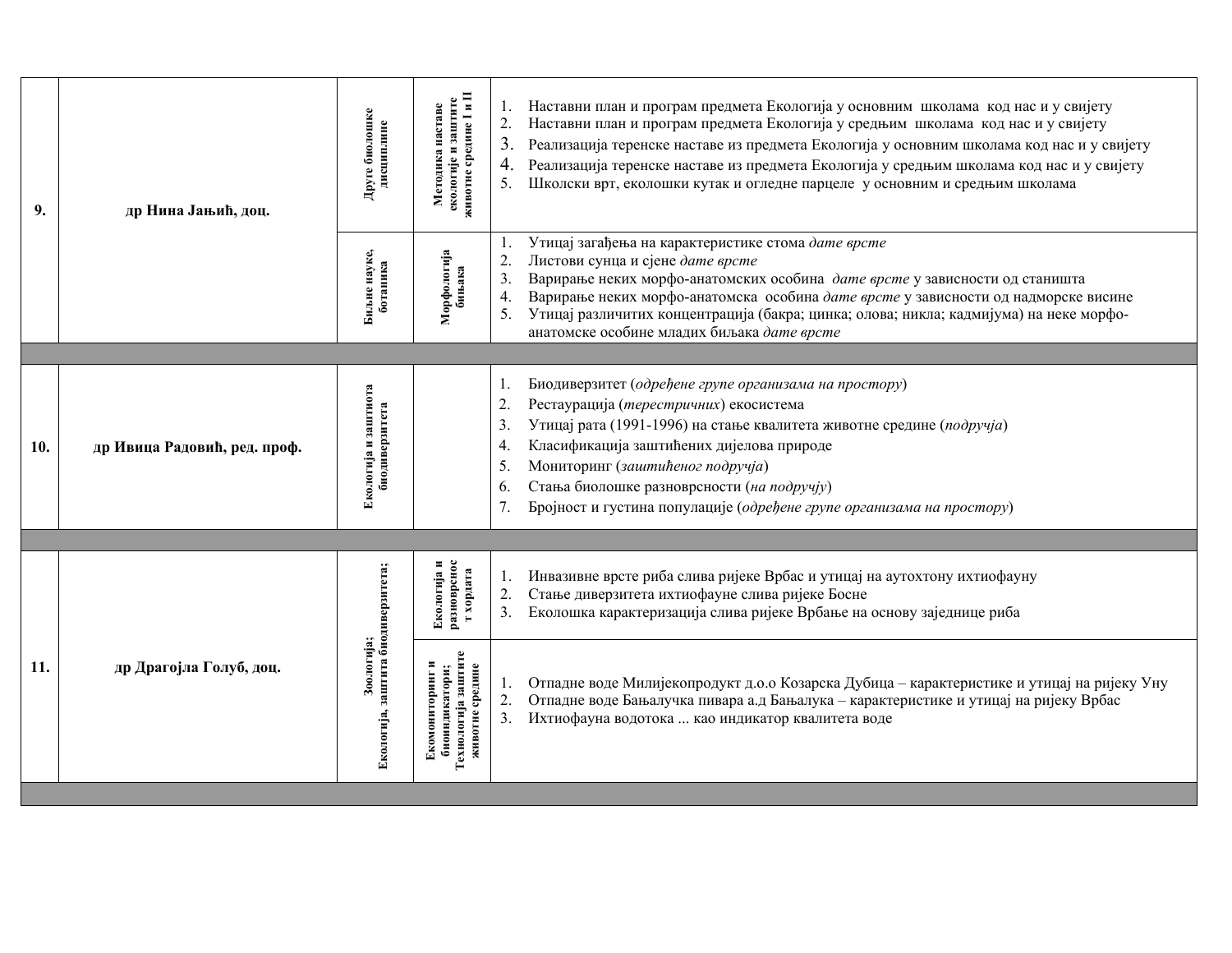| 9.  | др Нина Јањић, доц.          | Друге биолошке<br>дисциплине                     | екологије и заштите<br>животне средине I и II<br>Методика наставе              | Наставни план и програм предмета Екологија у основним школама код нас и у свијету<br>Наставни план и програм предмета Екологија у средњим школама код нас и у свијету<br>$\overline{2}$ .<br>Реализација теренске наставе из предмета Екологија у основним школама код нас и у свијету<br>Реализација теренске наставе из предмета Екологија у средњим школама код нас и у свијету<br>Школски врт, еколошки кутак и огледне парцеле у основним и средњим школама |
|-----|------------------------------|--------------------------------------------------|--------------------------------------------------------------------------------|------------------------------------------------------------------------------------------------------------------------------------------------------------------------------------------------------------------------------------------------------------------------------------------------------------------------------------------------------------------------------------------------------------------------------------------------------------------|
|     |                              | Биљне науке,<br>ботаника                         | Морфологија<br>бињака                                                          | Утицај загађења на карактеристике стома дате врсте<br>Листови сунца и сјене дате врсте<br>$\overline{2}$ .<br>Варирање неких морфо-анатомских особина дате врсте у зависности од станишта<br>3.<br>Варирање неких морфо-анатомска особина дате врсте у зависности од надморске висине<br>4.<br>Утицај различитих концентрација (бакра; цинка; олова; никла; кадмијума) на неке морфо-<br>5.<br>анатомске особине младих биљака дате врсте                        |
|     |                              |                                                  |                                                                                |                                                                                                                                                                                                                                                                                                                                                                                                                                                                  |
| 10. | др Ивица Радовић, ред. проф. | Екологија и заштиота<br>биодиверзитета           |                                                                                | Биодиверзитет (одређене групе организама на простору)<br>$\overline{2}$ .<br>Рестаурација (терестричних) екосистема<br>Утицај рата (1991-1996) на стање квалитета животне средине (подручја)<br>3.<br>Класификација заштићених дијелова природе<br>4.<br>Мониторинг (заштићеног подручја)<br>5.<br>Стања биолошке разноврсности (на подручју)<br>6.<br>Бројност и густина популације (одређене групе организама на простору)<br>7.                               |
|     |                              |                                                  |                                                                                |                                                                                                                                                                                                                                                                                                                                                                                                                                                                  |
|     | др Драгојла Голуб, доц.      |                                                  | разноврснос<br>т хордата<br>$\blacksquare$<br>Екологија                        | Инвазивне врсте риба слива ријеке Врбас и утицај на аутохтону ихтиофауну<br>Стање диверзитета ихтиофауне слива ријеке Босне<br>2.<br>Еколошка карактеризација слива ријеке Врбање на основу заједнице риба                                                                                                                                                                                                                                                       |
| 11. |                              | Екологија, заштита биодиверзитета;<br>Зоологија; | биоиндикатори;<br>Технологија заштите<br>животне средине<br>×<br>Екомониторинг | Отпадне воде Милијекопродукт д.о.о Козарска Дубица – карактеристике и утицај на ријеку Уну<br>Отпадне воде Бањалучка пивара а.д Бањалука - карактеристике и утицај на ријеку Врбас<br>$\overline{2}$ .<br>3.<br>Ихтиофауна водотока  као индикатор квалитета воде                                                                                                                                                                                                |